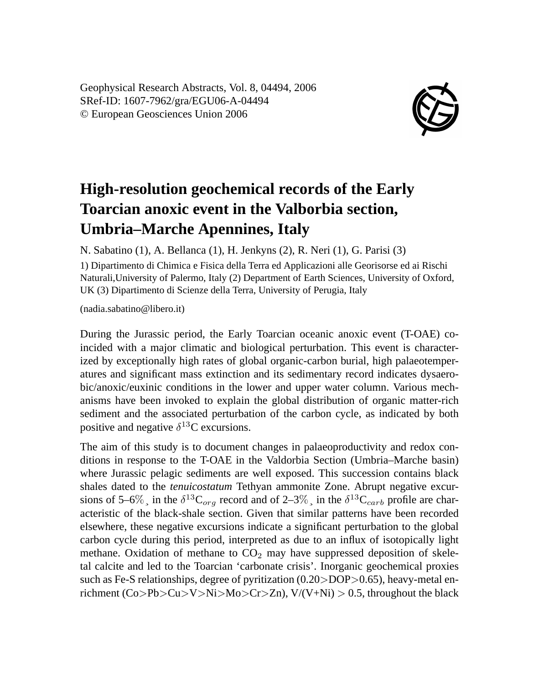Geophysical Research Abstracts, Vol. 8, 04494, 2006 SRef-ID: 1607-7962/gra/EGU06-A-04494 © European Geosciences Union 2006



## **High-resolution geochemical records of the Early Toarcian anoxic event in the Valborbia section, Umbria–Marche Apennines, Italy**

N. Sabatino (1), A. Bellanca (1), H. Jenkyns (2), R. Neri (1), G. Parisi (3)

1) Dipartimento di Chimica e Fisica della Terra ed Applicazioni alle Georisorse ed ai Rischi Naturali,University of Palermo, Italy (2) Department of Earth Sciences, University of Oxford, UK (3) Dipartimento di Scienze della Terra, University of Perugia, Italy

(nadia.sabatino@libero.it)

During the Jurassic period, the Early Toarcian oceanic anoxic event (T-OAE) coincided with a major climatic and biological perturbation. This event is characterized by exceptionally high rates of global organic-carbon burial, high palaeotemperatures and significant mass extinction and its sedimentary record indicates dysaerobic/anoxic/euxinic conditions in the lower and upper water column. Various mechanisms have been invoked to explain the global distribution of organic matter-rich sediment and the associated perturbation of the carbon cycle, as indicated by both positive and negative  $\delta^{13}$ C excursions.

The aim of this study is to document changes in palaeoproductivity and redox conditions in response to the T-OAE in the Valdorbia Section (Umbria–Marche basin) where Jurassic pelagic sediments are well exposed. This succession contains black shales dated to the *tenuicostatum* Tethyan ammonite Zone. Abrupt negative excursions of 5–6%, in the  $\delta^{13}C_{org}$  record and of 2–3%, in the  $\delta^{13}C_{carb}$  profile are characteristic of the black-shale section. Given that similar patterns have been recorded elsewhere, these negative excursions indicate a significant perturbation to the global carbon cycle during this period, interpreted as due to an influx of isotopically light methane. Oxidation of methane to  $CO<sub>2</sub>$  may have suppressed deposition of skeletal calcite and led to the Toarcian 'carbonate crisis'. Inorganic geochemical proxies such as Fe-S relationships, degree of pyritization  $(0.20 > DOP > 0.65)$ , heavy-metal enrichment (Co>Pb>Cu>V>Ni>Mo>Cr>Zn),  $V/(V+Ni) > 0.5$ , throughout the black